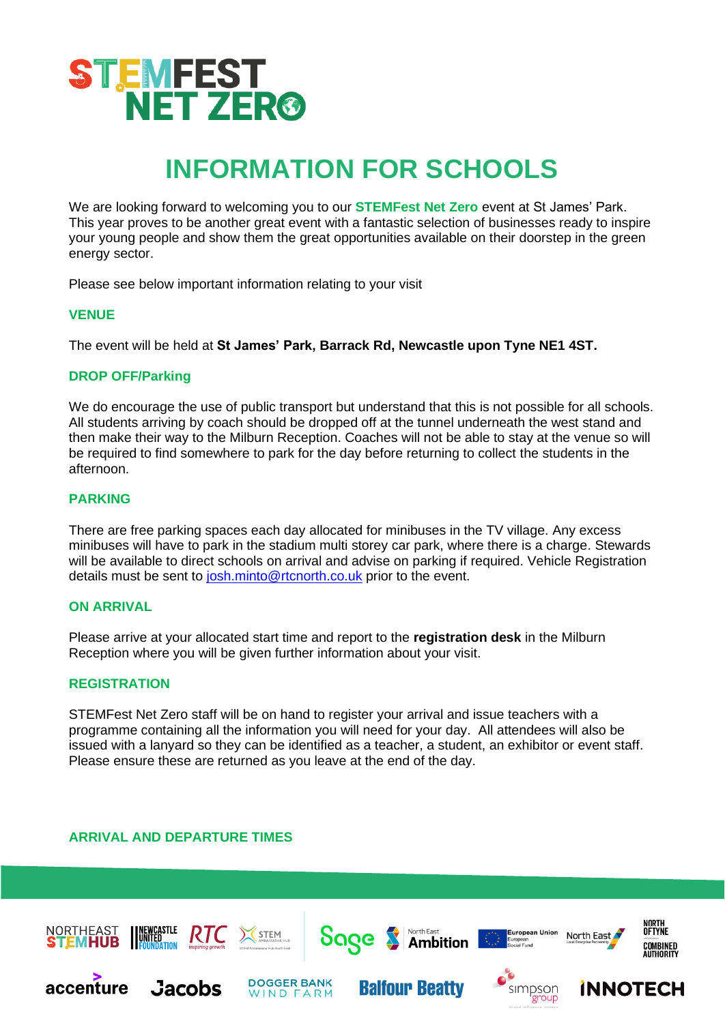

# **INFORMATION FOR SCHOOLS**

We are looking forward to welcoming you to our **STEMFest Net Zero** event at St James' Park. This year proves to be another great event with a fantastic selection of businesses ready to inspire your young people and show them the great opportunities available on their doorstep in the green energy sector.

Please see below important information relating to your visit

#### **VENUE**

The event will be held at **St James' Park, Barrack Rd, Newcastle upon Tyne NE1 4ST.** 

#### **DROP OFF/Parking**

We do encourage the use of public transport but understand that this is not possible for all schools. All students arriving by coach should be dropped off at the tunnel underneath the west stand and then make their way to the Milburn Reception. Coaches will not be able to stay at the venue so will be required to find somewhere to park for the day before returning to collect the students in the afternoon.

## **PARKING**

There are free parking spaces each day allocated for minibuses in the TV village. Any excess minibuses will have to park in the stadium multi storey car park, where there is a charge. Stewards will be available to direct schools on arrival and advise on parking if required. Vehicle Registration details must be sent to [josh.minto@rtcnorth.co.uk](mailto:josh.minto@rtcnorth.co.uk) prior to the event.

## **ON ARRIVAL**

Please arrive at your allocated start time and report to the **registration desk** in the Milburn Reception where you will be given further information about your visit.

## **REGISTRATION**

STEMFest Net Zero staff will be on hand to register your arrival and issue teachers with a programme containing all the information you will need for your day. All attendees will also be issued with a lanyard so they can be identified as a teacher, a student, an exhibitor or event staff. Please ensure these are returned as you leave at the end of the day.

# **ARRIVAL AND DEPARTURE TIMES**

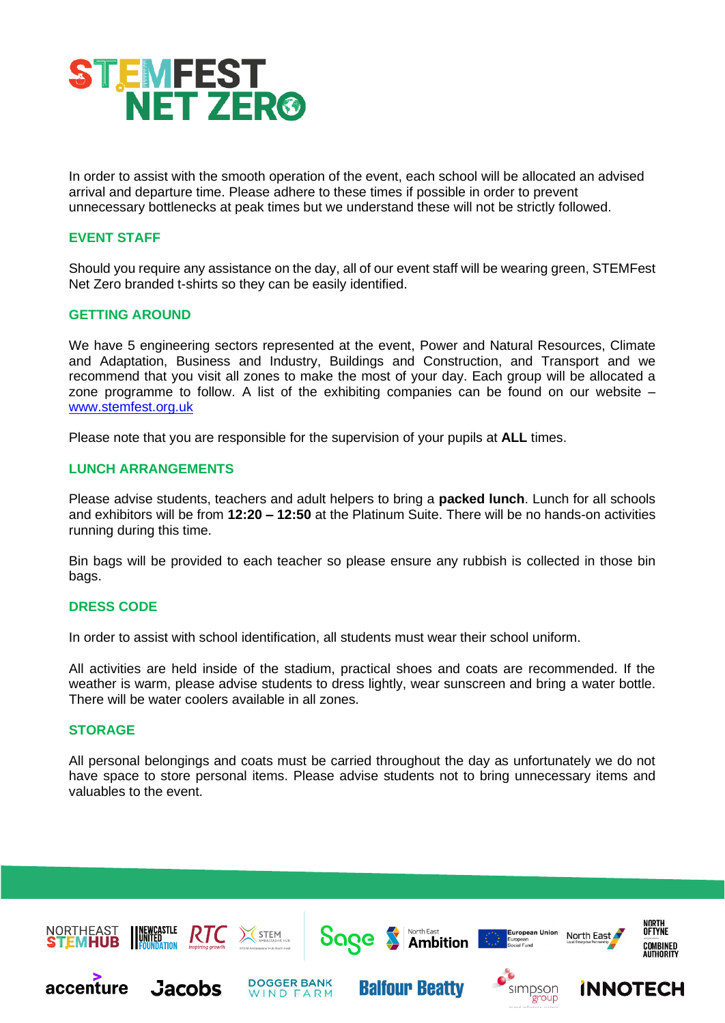

In order to assist with the smooth operation of the event, each school will be allocated an advised arrival and departure time. Please adhere to these times if possible in order to prevent unnecessary bottlenecks at peak times but we understand these will not be strictly followed.

# **EVENT STAFF**

Should you require any assistance on the day, all of our event staff will be wearing green, STEMFest Net Zero branded t-shirts so they can be easily identified.

## **GETTING AROUND**

We have 5 engineering sectors represented at the event, Power and Natural Resources, Climate and Adaptation, Business and Industry, Buildings and Construction, and Transport and we recommend that you visit all zones to make the most of your day. Each group will be allocated a zone programme to follow. A list of the exhibiting companies can be found on our website – [www.stemfest.org.uk](http://www.stemfest.org.uk/)

Please note that you are responsible for the supervision of your pupils at **ALL** times.

#### **LUNCH ARRANGEMENTS**

Please advise students, teachers and adult helpers to bring a **packed lunch**. Lunch for all schools and exhibitors will be from **12:20 – 12:50** at the Platinum Suite. There will be no hands-on activities running during this time.

Bin bags will be provided to each teacher so please ensure any rubbish is collected in those bin bags.

#### **DRESS CODE**

In order to assist with school identification, all students must wear their school uniform.

All activities are held inside of the stadium, practical shoes and coats are recommended. If the weather is warm, please advise students to dress lightly, wear sunscreen and bring a water bottle. There will be water coolers available in all zones.

# **STORAGE**

All personal belongings and coats must be carried throughout the day as unfortunately we do not have space to store personal items. Please advise students not to bring unnecessary items and valuables to the event.